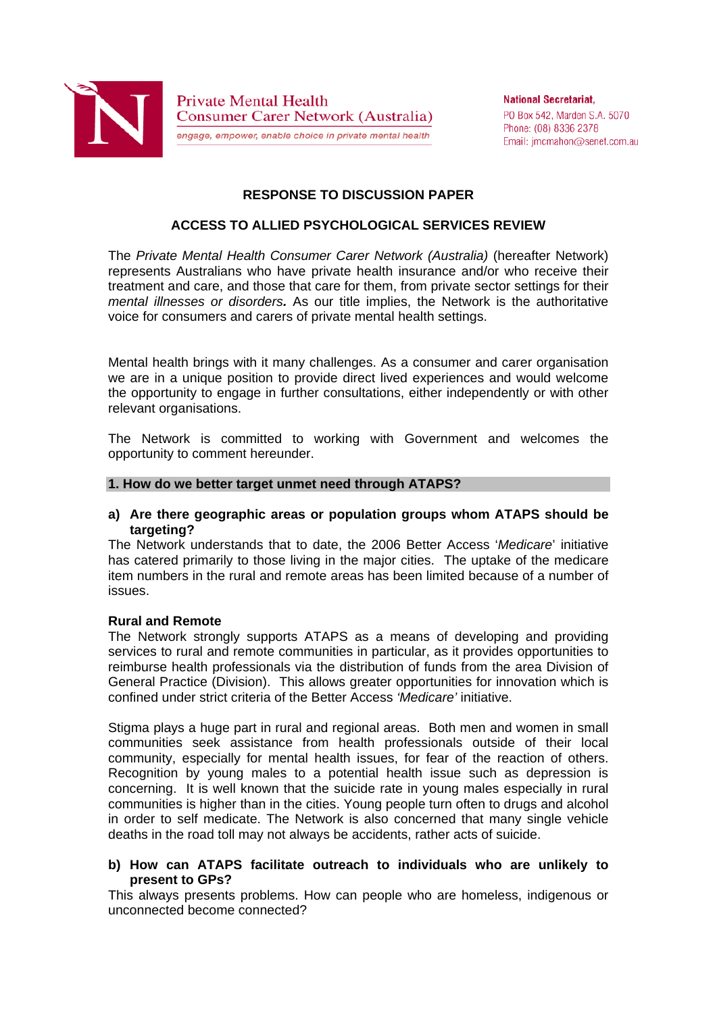

**National Secretariat.** PO Box 542, Marden S.A. 5070 Phone: (08) 8336 2378 Email: imcmahon@senet.com.au

# **RESPONSE TO DISCUSSION PAPER**

# **ACCESS TO ALLIED PSYCHOLOGICAL SERVICES REVIEW**

The *Private Mental Health Consumer Carer Network (Australia)* (hereafter Network) represents Australians who have private health insurance and/or who receive their treatment and care, and those that care for them, from private sector settings for their *mental illnesses or disorders.* As our title implies, the Network is the authoritative voice for consumers and carers of private mental health settings.

Mental health brings with it many challenges. As a consumer and carer organisation we are in a unique position to provide direct lived experiences and would welcome the opportunity to engage in further consultations, either independently or with other relevant organisations.

The Network is committed to working with Government and welcomes the opportunity to comment hereunder.

#### **1. How do we better target unmet need through ATAPS?**

**a) Are there geographic areas or population groups whom ATAPS should be targeting?** 

The Network understands that to date, the 2006 Better Access '*Medicare*' initiative has catered primarily to those living in the major cities. The uptake of the medicare item numbers in the rural and remote areas has been limited because of a number of issues.

#### **Rural and Remote**

The Network strongly supports ATAPS as a means of developing and providing services to rural and remote communities in particular, as it provides opportunities to reimburse health professionals via the distribution of funds from the area Division of General Practice (Division). This allows greater opportunities for innovation which is confined under strict criteria of the Better Access *'Medicare'* initiative.

Stigma plays a huge part in rural and regional areas. Both men and women in small communities seek assistance from health professionals outside of their local community, especially for mental health issues, for fear of the reaction of others. Recognition by young males to a potential health issue such as depression is concerning. It is well known that the suicide rate in young males especially in rural communities is higher than in the cities. Young people turn often to drugs and alcohol in order to self medicate. The Network is also concerned that many single vehicle deaths in the road toll may not always be accidents, rather acts of suicide.

#### **b) How can ATAPS facilitate outreach to individuals who are unlikely to present to GPs?**

This always presents problems. How can people who are homeless, indigenous or unconnected become connected?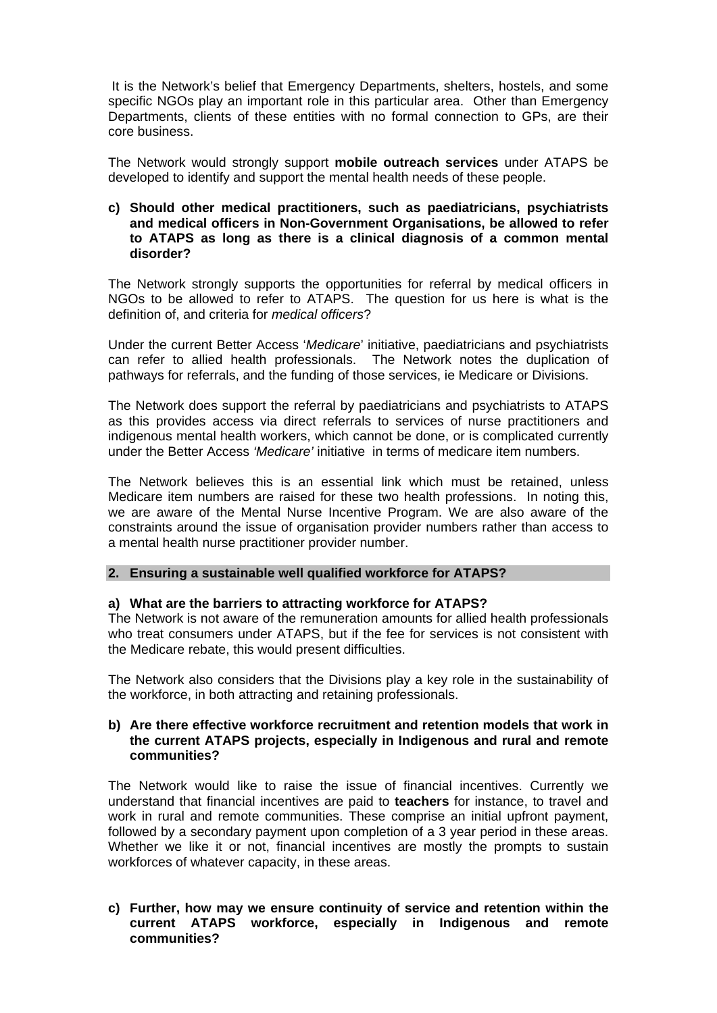It is the Network's belief that Emergency Departments, shelters, hostels, and some specific NGOs play an important role in this particular area. Other than Emergency Departments, clients of these entities with no formal connection to GPs, are their core business.

The Network would strongly support **mobile outreach services** under ATAPS be developed to identify and support the mental health needs of these people.

#### **c) Should other medical practitioners, such as paediatricians, psychiatrists and medical officers in Non-Government Organisations, be allowed to refer to ATAPS as long as there is a clinical diagnosis of a common mental disorder?**

The Network strongly supports the opportunities for referral by medical officers in NGOs to be allowed to refer to ATAPS. The question for us here is what is the definition of, and criteria for *medical officers*?

Under the current Better Access '*Medicare*' initiative, paediatricians and psychiatrists can refer to allied health professionals. The Network notes the duplication of pathways for referrals, and the funding of those services, ie Medicare or Divisions.

The Network does support the referral by paediatricians and psychiatrists to ATAPS as this provides access via direct referrals to services of nurse practitioners and indigenous mental health workers, which cannot be done, or is complicated currently under the Better Access *'Medicare'* initiative in terms of medicare item numbers.

The Network believes this is an essential link which must be retained, unless Medicare item numbers are raised for these two health professions. In noting this, we are aware of the Mental Nurse Incentive Program. We are also aware of the constraints around the issue of organisation provider numbers rather than access to a mental health nurse practitioner provider number.

#### **2. Ensuring a sustainable well qualified workforce for ATAPS?**

#### **a) What are the barriers to attracting workforce for ATAPS?**

The Network is not aware of the remuneration amounts for allied health professionals who treat consumers under ATAPS, but if the fee for services is not consistent with the Medicare rebate, this would present difficulties.

The Network also considers that the Divisions play a key role in the sustainability of the workforce, in both attracting and retaining professionals.

### **b) Are there effective workforce recruitment and retention models that work in the current ATAPS projects, especially in Indigenous and rural and remote communities?**

The Network would like to raise the issue of financial incentives. Currently we understand that financial incentives are paid to **teachers** for instance, to travel and work in rural and remote communities. These comprise an initial upfront payment, followed by a secondary payment upon completion of a 3 year period in these areas. Whether we like it or not, financial incentives are mostly the prompts to sustain workforces of whatever capacity, in these areas.

**c) Further, how may we ensure continuity of service and retention within the current ATAPS workforce, especially in Indigenous and remote communities?**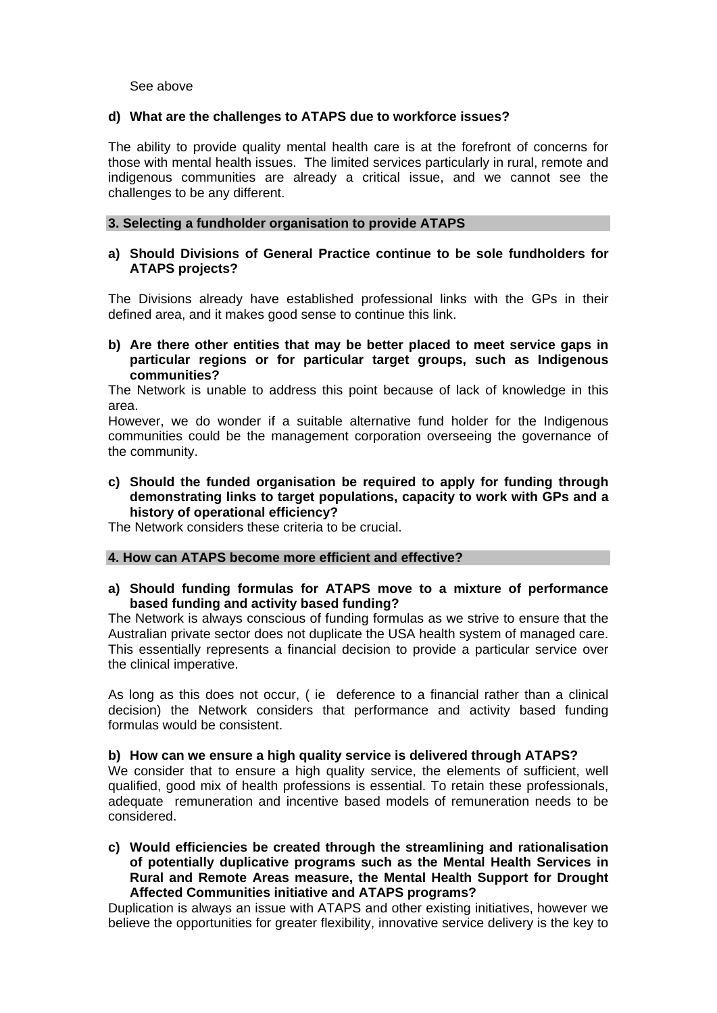See above

### **d) What are the challenges to ATAPS due to workforce issues?**

The ability to provide quality mental health care is at the forefront of concerns for those with mental health issues. The limited services particularly in rural, remote and indigenous communities are already a critical issue, and we cannot see the challenges to be any different.

#### **3. Selecting a fundholder organisation to provide ATAPS**

## **a) Should Divisions of General Practice continue to be sole fundholders for ATAPS projects?**

The Divisions already have established professional links with the GPs in their defined area, and it makes good sense to continue this link.

**b) Are there other entities that may be better placed to meet service gaps in particular regions or for particular target groups, such as Indigenous communities?** 

The Network is unable to address this point because of lack of knowledge in this area.

However, we do wonder if a suitable alternative fund holder for the Indigenous communities could be the management corporation overseeing the governance of the community.

**c) Should the funded organisation be required to apply for funding through demonstrating links to target populations, capacity to work with GPs and a history of operational efficiency?** 

The Network considers these criteria to be crucial.

#### **4. How can ATAPS become more efficient and effective?**

**a) Should funding formulas for ATAPS move to a mixture of performance based funding and activity based funding?** 

The Network is always conscious of funding formulas as we strive to ensure that the Australian private sector does not duplicate the USA health system of managed care. This essentially represents a financial decision to provide a particular service over the clinical imperative.

As long as this does not occur, ( ie deference to a financial rather than a clinical decision) the Network considers that performance and activity based funding formulas would be consistent.

#### **b) How can we ensure a high quality service is delivered through ATAPS?**

We consider that to ensure a high quality service, the elements of sufficient, well qualified, good mix of health professions is essential. To retain these professionals, adequate remuneration and incentive based models of remuneration needs to be considered.

**c) Would efficiencies be created through the streamlining and rationalisation of potentially duplicative programs such as the Mental Health Services in Rural and Remote Areas measure, the Mental Health Support for Drought Affected Communities initiative and ATAPS programs?** 

Duplication is always an issue with ATAPS and other existing initiatives, however we believe the opportunities for greater flexibility, innovative service delivery is the key to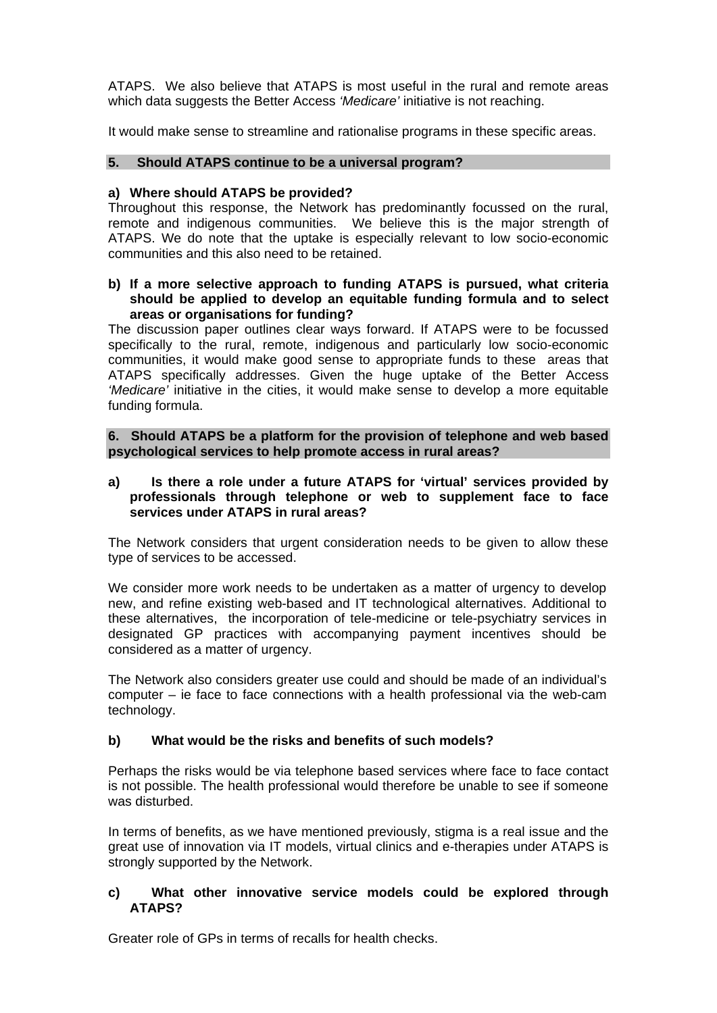ATAPS. We also believe that ATAPS is most useful in the rural and remote areas which data suggests the Better Access *'Medicare'* initiative is not reaching.

It would make sense to streamline and rationalise programs in these specific areas.

# **5. Should ATAPS continue to be a universal program?**

## **a) Where should ATAPS be provided?**

Throughout this response, the Network has predominantly focussed on the rural, remote and indigenous communities. We believe this is the major strength of ATAPS. We do note that the uptake is especially relevant to low socio-economic communities and this also need to be retained.

## **b) If a more selective approach to funding ATAPS is pursued, what criteria should be applied to develop an equitable funding formula and to select areas or organisations for funding?**

The discussion paper outlines clear ways forward. If ATAPS were to be focussed specifically to the rural, remote, indigenous and particularly low socio-economic communities, it would make good sense to appropriate funds to these areas that ATAPS specifically addresses. Given the huge uptake of the Better Access *'Medicare'* initiative in the cities, it would make sense to develop a more equitable funding formula.

**6. Should ATAPS be a platform for the provision of telephone and web based psychological services to help promote access in rural areas?** 

# **a) Is there a role under a future ATAPS for 'virtual' services provided by professionals through telephone or web to supplement face to face services under ATAPS in rural areas?**

The Network considers that urgent consideration needs to be given to allow these type of services to be accessed.

We consider more work needs to be undertaken as a matter of urgency to develop new, and refine existing web-based and IT technological alternatives. Additional to these alternatives, the incorporation of tele-medicine or tele-psychiatry services in designated GP practices with accompanying payment incentives should be considered as a matter of urgency.

The Network also considers greater use could and should be made of an individual's computer – ie face to face connections with a health professional via the web-cam technology.

# **b) What would be the risks and benefits of such models?**

Perhaps the risks would be via telephone based services where face to face contact is not possible. The health professional would therefore be unable to see if someone was disturbed.

In terms of benefits, as we have mentioned previously, stigma is a real issue and the great use of innovation via IT models, virtual clinics and e-therapies under ATAPS is strongly supported by the Network.

## **c) What other innovative service models could be explored through ATAPS?**

Greater role of GPs in terms of recalls for health checks.